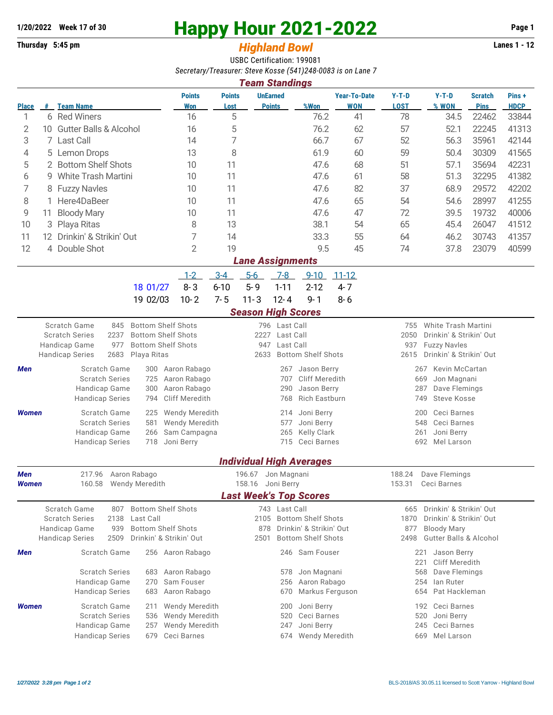## **1/20/2022** Week 17 of 30<br> **Happy Hour 2021-2022** Page 1<br> **Highland Rowl** Lanes 1 - 12<br>
Lanes 1 - 12

## **Thursday 5:45 pm** *Highland Bowl*

USBC Certification: 199081 *Secretary/Treasurer: Steve Kosse (541)248-0083 is on Lane 7*

| <b>Team Standings</b>         |    |                                                                                                                                                                                                                                                                                                                                      |                                                                          |                                                                                                                    |                                  |                                                                                 |                                                                                                   |                                                                                                                                             |                                                                                                                                                                                                                                    |                                                        |                               |                      |  |  |
|-------------------------------|----|--------------------------------------------------------------------------------------------------------------------------------------------------------------------------------------------------------------------------------------------------------------------------------------------------------------------------------------|--------------------------------------------------------------------------|--------------------------------------------------------------------------------------------------------------------|----------------------------------|---------------------------------------------------------------------------------|---------------------------------------------------------------------------------------------------|---------------------------------------------------------------------------------------------------------------------------------------------|------------------------------------------------------------------------------------------------------------------------------------------------------------------------------------------------------------------------------------|--------------------------------------------------------|-------------------------------|----------------------|--|--|
| <b>Place</b>                  |    | # Team Name                                                                                                                                                                                                                                                                                                                          | <b>Points</b><br>Won                                                     | <b>Points</b><br>Lost                                                                                              | <b>UnEarned</b><br><b>Points</b> |                                                                                 | %Won                                                                                              | <b>Year-To-Date</b><br><b>WON</b>                                                                                                           | $Y-T-D$<br><b>LOST</b>                                                                                                                                                                                                             | $Y-T-D$<br>% WON                                       | <b>Scratch</b><br><b>Pins</b> | Pins+<br><b>HDCP</b> |  |  |
| 1                             |    | 6 Red Winers                                                                                                                                                                                                                                                                                                                         | 16                                                                       | 5                                                                                                                  |                                  |                                                                                 | 76.2                                                                                              | 41                                                                                                                                          | 78                                                                                                                                                                                                                                 | 34.5                                                   | 22462                         | 33844                |  |  |
| 2                             | 10 | <b>Gutter Balls &amp; Alcohol</b>                                                                                                                                                                                                                                                                                                    | 16                                                                       | 5                                                                                                                  |                                  |                                                                                 | 76.2                                                                                              | 62                                                                                                                                          | 57                                                                                                                                                                                                                                 | 52.1                                                   | 22245                         | 41313                |  |  |
| 3                             |    | 7 Last Call                                                                                                                                                                                                                                                                                                                          | 14                                                                       | 7                                                                                                                  |                                  |                                                                                 | 66.7                                                                                              | 67                                                                                                                                          | 52                                                                                                                                                                                                                                 | 56.3                                                   | 35961                         | 42144                |  |  |
| 4                             |    | 5 Lemon Drops                                                                                                                                                                                                                                                                                                                        | 13                                                                       | 8                                                                                                                  |                                  |                                                                                 | 61.9                                                                                              | 60                                                                                                                                          | 59                                                                                                                                                                                                                                 | 50.4                                                   | 30309                         | 41565                |  |  |
| 5                             |    | 2 Bottom Shelf Shots                                                                                                                                                                                                                                                                                                                 | 10                                                                       | 11                                                                                                                 |                                  |                                                                                 | 47.6                                                                                              | 68                                                                                                                                          | 51                                                                                                                                                                                                                                 | 57.1                                                   | 35694                         | 42231                |  |  |
| 6                             | 9  | <b>White Trash Martini</b>                                                                                                                                                                                                                                                                                                           | 10                                                                       | 11                                                                                                                 |                                  |                                                                                 | 47.6                                                                                              | 61                                                                                                                                          | 58                                                                                                                                                                                                                                 | 51.3                                                   | 32295                         | 41382                |  |  |
| 7                             |    | 8 Fuzzy Navles                                                                                                                                                                                                                                                                                                                       | 10                                                                       | 11                                                                                                                 |                                  |                                                                                 | 47.6                                                                                              | 82                                                                                                                                          | 37                                                                                                                                                                                                                                 | 68.9                                                   | 29572                         | 42202                |  |  |
| 8                             |    | Here4DaBeer                                                                                                                                                                                                                                                                                                                          | 10                                                                       | 11                                                                                                                 |                                  |                                                                                 | 47.6                                                                                              | 65                                                                                                                                          | 54                                                                                                                                                                                                                                 | 54.6                                                   | 28997                         | 41255                |  |  |
| 9                             | 11 | <b>Bloody Mary</b>                                                                                                                                                                                                                                                                                                                   | 10                                                                       | 11                                                                                                                 |                                  |                                                                                 | 47.6                                                                                              | 47                                                                                                                                          | 72                                                                                                                                                                                                                                 | 39.5                                                   | 19732                         | 40006                |  |  |
| 10                            | 3  | Playa Ritas                                                                                                                                                                                                                                                                                                                          | 8                                                                        | 13                                                                                                                 |                                  |                                                                                 | 38.1                                                                                              | 54                                                                                                                                          | 65                                                                                                                                                                                                                                 | 45.4                                                   | 26047                         | 41512                |  |  |
| 11                            |    | 12 Drinkin' & Strikin' Out                                                                                                                                                                                                                                                                                                           | 7                                                                        | 14                                                                                                                 |                                  |                                                                                 | 33.3                                                                                              | 55                                                                                                                                          | 64                                                                                                                                                                                                                                 | 46.2                                                   | 30743                         | 41357                |  |  |
| 12                            |    | 4 Double Shot                                                                                                                                                                                                                                                                                                                        | $\overline{2}$                                                           | 19                                                                                                                 |                                  |                                                                                 | 9.5                                                                                               | 45                                                                                                                                          | 74                                                                                                                                                                                                                                 | 37.8                                                   | 23079                         | 40599                |  |  |
| <b>Lane Assignments</b>       |    |                                                                                                                                                                                                                                                                                                                                      |                                                                          |                                                                                                                    |                                  |                                                                                 |                                                                                                   |                                                                                                                                             |                                                                                                                                                                                                                                    |                                                        |                               |                      |  |  |
|                               |    |                                                                                                                                                                                                                                                                                                                                      | $1 - 2$                                                                  | $3-4$                                                                                                              | $5-6$                            | $7-8$                                                                           | $9 - 10$                                                                                          | $11 - 12$                                                                                                                                   |                                                                                                                                                                                                                                    |                                                        |                               |                      |  |  |
|                               |    | 18 01/27                                                                                                                                                                                                                                                                                                                             | $8 - 3$                                                                  | $6 - 10$                                                                                                           | $5 - 9$                          | $1 - 11$                                                                        | $2 - 12$                                                                                          | $4 - 7$                                                                                                                                     |                                                                                                                                                                                                                                    |                                                        |                               |                      |  |  |
|                               |    | 19 02/03                                                                                                                                                                                                                                                                                                                             | $10 - 2$                                                                 | $7 - 5$                                                                                                            | $11 - 3$                         | $12 - 4$                                                                        | $9 - 1$                                                                                           | $8 - 6$                                                                                                                                     |                                                                                                                                                                                                                                    |                                                        |                               |                      |  |  |
|                               |    |                                                                                                                                                                                                                                                                                                                                      |                                                                          |                                                                                                                    | <b>Season High Scores</b>        |                                                                                 |                                                                                                   |                                                                                                                                             |                                                                                                                                                                                                                                    |                                                        |                               |                      |  |  |
| Men                           |    | Scratch Game<br><b>Bottom Shelf Shots</b><br>845<br>2237<br><b>Bottom Shelf Shots</b><br><b>Scratch Series</b><br>977<br>Handicap Game<br><b>Bottom Shelf Shots</b><br><b>Handicap Series</b><br>2683<br>Playa Ritas<br>Scratch Game<br>300<br><b>Scratch Series</b><br>725<br>Handicap Game<br>300<br><b>Handicap Series</b><br>794 | Aaron Rabago<br>Aaron Rabago<br>Aaron Rabago<br><b>Cliff Meredith</b>    |                                                                                                                    | 2227<br>947<br>2633              | 796 Last Call<br>Last Call<br>Last Call<br>267<br>707<br>290<br>768             | <b>Bottom Shelf Shots</b><br>Jason Berry<br>Cliff Meredith<br>Jason Berry<br><b>Rich Eastburn</b> |                                                                                                                                             | White Trash Martini<br>755<br>2050<br>Drinkin' & Strikin' Out<br>937<br><b>Fuzzy Navles</b><br>Drinkin' & Strikin' Out<br>2615<br>Kevin McCartan<br>267<br>669<br>Jon Magnani<br>287<br>Dave Flemings<br><b>Steve Kosse</b><br>749 |                                                        |                               |                      |  |  |
| Women                         |    | Scratch Game<br>225<br><b>Scratch Series</b><br>581<br>Handicap Game<br>266<br><b>Handicap Series</b><br>718                                                                                                                                                                                                                         | Wendy Meredith<br><b>Wendy Meredith</b><br>Sam Campagna<br>Joni Berry    | Joni Berry<br>214<br>Joni Berry<br>577<br>Kelly Clark<br>265<br>715 Ceci Barnes<br><b>Individual High Averages</b> |                                  |                                                                                 |                                                                                                   |                                                                                                                                             | Ceci Barnes<br>200<br>Ceci Barnes<br>548<br>Joni Berry<br>261<br>692 Mel Larson                                                                                                                                                    |                                                        |                               |                      |  |  |
| Men                           |    | 217.96 Aaron Rabago                                                                                                                                                                                                                                                                                                                  |                                                                          |                                                                                                                    | 196.67 Jon Magnani               |                                                                                 |                                                                                                   |                                                                                                                                             | 188.24                                                                                                                                                                                                                             | Dave Flemings                                          |                               |                      |  |  |
| Women                         |    | 160.58<br>Wendy Meredith                                                                                                                                                                                                                                                                                                             |                                                                          |                                                                                                                    | 158.16 Joni Berry                |                                                                                 |                                                                                                   |                                                                                                                                             |                                                                                                                                                                                                                                    | 153.31 Ceci Barnes                                     |                               |                      |  |  |
| <b>Last Week's Top Scores</b> |    |                                                                                                                                                                                                                                                                                                                                      |                                                                          |                                                                                                                    |                                  |                                                                                 |                                                                                                   |                                                                                                                                             |                                                                                                                                                                                                                                    |                                                        |                               |                      |  |  |
|                               |    | Scratch Game<br><b>Bottom Shelf Shots</b><br>807<br>Last Call<br><b>Scratch Series</b><br>2138<br><b>Bottom Shelf Shots</b><br>Handicap Game<br>939<br>Drinkin' & Strikin' Out<br><b>Handicap Series</b><br>2509                                                                                                                     |                                                                          | 878<br>2501                                                                                                        | 743 Last Call                    | 2105 Bottom Shelf Shots<br>Drinkin' & Strikin' Out<br><b>Bottom Shelf Shots</b> |                                                                                                   | Drinkin' & Strikin' Out<br>665<br>1870<br>Drinkin' & Strikin' Out<br>877<br><b>Bloody Mary</b><br><b>Gutter Balls &amp; Alcohol</b><br>2498 |                                                                                                                                                                                                                                    |                                                        |                               |                      |  |  |
| Men                           |    | Scratch Game                                                                                                                                                                                                                                                                                                                         | 256 Aaron Rabago                                                         |                                                                                                                    |                                  |                                                                                 | 246 Sam Fouser                                                                                    |                                                                                                                                             | 221<br>221                                                                                                                                                                                                                         | Jason Berry<br>Cliff Meredith                          |                               |                      |  |  |
|                               |    | <b>Scratch Series</b><br>683<br>Handicap Game<br>270<br><b>Handicap Series</b><br>683                                                                                                                                                                                                                                                | Aaron Rabago<br>Sam Fouser<br>Aaron Rabago                               |                                                                                                                    |                                  | 578<br>256<br>670                                                               | Jon Magnani<br>Aaron Rabago<br>Markus Ferguson                                                    |                                                                                                                                             | 568<br>254<br>654                                                                                                                                                                                                                  | Dave Flemings<br>lan Ruter<br>Pat Hackleman            |                               |                      |  |  |
| Women                         |    | Scratch Game<br>211<br><b>Scratch Series</b><br>536<br>Handicap Game<br>257<br><b>Handicap Series</b><br>679                                                                                                                                                                                                                         | <b>Wendy Meredith</b><br>Wendy Meredith<br>Wendy Meredith<br>Ceci Barnes |                                                                                                                    |                                  | 200<br>520<br>247<br>674                                                        | Joni Berry<br>Ceci Barnes<br>Joni Berry<br>Wendy Meredith                                         |                                                                                                                                             | 192<br>520<br>245<br>669                                                                                                                                                                                                           | Ceci Barnes<br>Joni Berry<br>Ceci Barnes<br>Mel Larson |                               |                      |  |  |